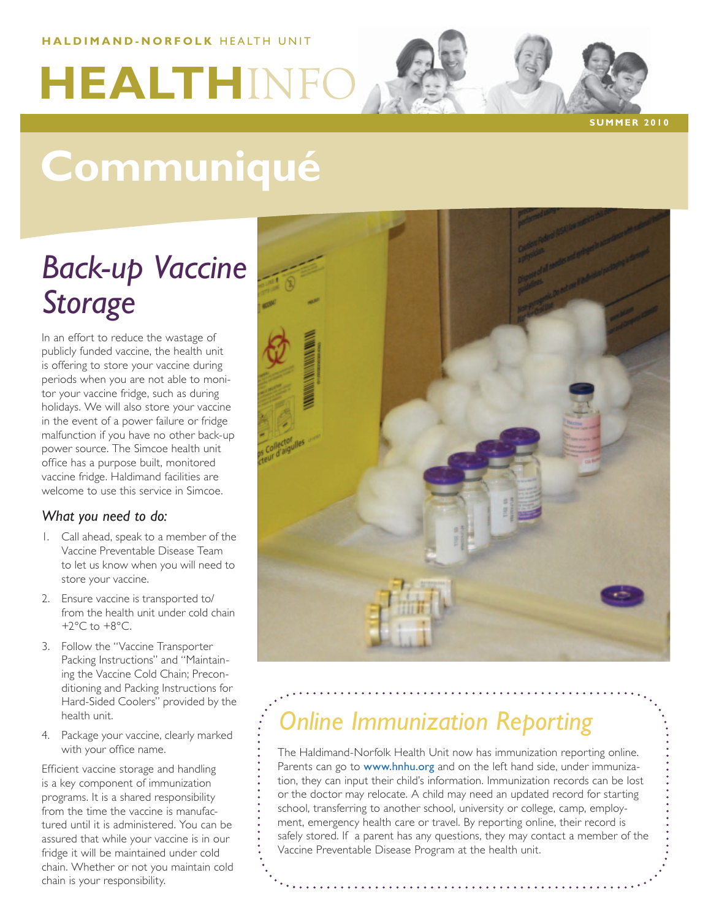### **HALDIMAND-NORFOLK HEALTH UNIT**

# **HEALTHINF**

**s u m m er 2 0 1 0**

## **Communiqué**

### *Back-up Vaccine Storage*

In an effort to reduce the wastage of publicly funded vaccine, the health unit is offering to store your vaccine during periods when you are not able to monitor your vaccine fridge, such as during holidays. We will also store your vaccine in the event of a power failure or fridge malfunction if you have no other back-up power source. The Simcoe health unit office has a purpose built, monitored vaccine fridge. Haldimand facilities are welcome to use this service in Simcoe.

### *What you need to do:*

- 1. Call ahead, speak to a member of the Vaccine Preventable Disease Team to let us know when you will need to store your vaccine.
- 2. Ensure vaccine is transported to/ from the health unit under cold chain  $+2^{\circ}$ C to  $+8^{\circ}$ C.
- 3. Follow the "Vaccine Transporter Packing Instructions" and "Maintaining the Vaccine Cold Chain; Preconditioning and Packing Instructions for Hard-Sided Coolers" provided by the health unit.
- 4. Package your vaccine, clearly marked with your office name.

Efficient vaccine storage and handling is a key component of immunization programs. It is a shared responsibility from the time the vaccine is manufactured until it is administered. You can be assured that while your vaccine is in our fridge it will be maintained under cold chain. Whether or not you maintain cold chain is your responsibility.



### *Online Immunization Reporting*

The Haldimand-Norfolk Health Unit now has immunization reporting online. Parents can go to www.hnhu.org and on the left hand side, under immunization, they can input their child's information. Immunization records can be lost or the doctor may relocate. A child may need an updated record for starting school, transferring to another school, university or college, camp, employment, emergency health care or travel. By reporting online, their record is safely stored. If a parent has any questions, they may contact a member of the Vaccine Preventable Disease Program at the health unit.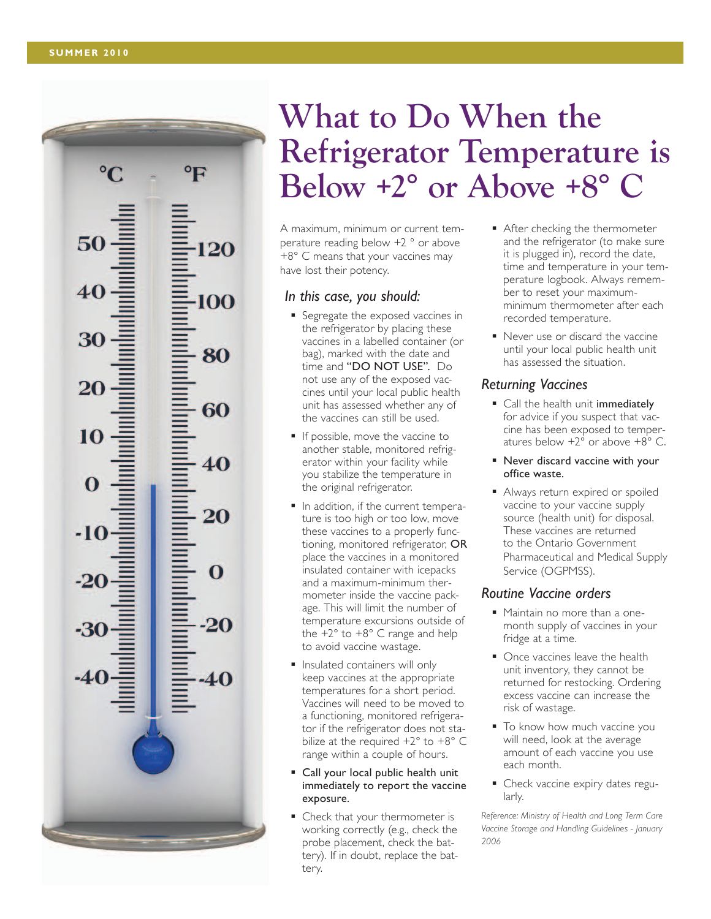$\rm ^{\circ}C$ 

50

30

20

10

-10

### **What to Do When the Refrigerator Temperature is Below +2° or Above +8° C**

A maximum, minimum or current tem perature reading below +2 ° or above +8° C means that your vaccines may have lost their potency.

### *In this case, you should:*

- Segregate the exposed vaccines in the refrigerator by placing these vaccines in a labelled container (or bag), marked with the date and time and "DO NOT USE". Do not use any of the exposed vac cines until your local public health unit has assessed whether any of the vaccines can still be used.
- If possible, move the vaccine to another stable, monitored refrig erator within your facility while you stabilize the temperature in the original refrigerator.
- In addition, if the current temperature is too high or too low, move these vaccines to a properly func tioning, monitored refrigerator, OR place the vaccines in a monitored insulated container with icepacks and a maximum-minimum ther mometer inside the vaccine package. This will limit the number of temperature excursions outside of the  $+2^{\circ}$  to  $+8^{\circ}$  C range and help to avoid vaccine wastage.
- **Insulated containers will only** keep vaccines at the appropriate temperatures for a short period. Vaccines will need to be moved to a functioning, monitored refrigera tor if the refrigerator does not sta bilize at the required  $+2^{\circ}$  to  $+8^{\circ}$  C range within a couple of hours.
- Call your local public health unit immediately to report the vaccine exposure.
- Check that your thermometer is working correctly (e.g., check the probe placement, check the bat tery). If in doubt, replace the bat tery.
- After checking the thermometer and the refrigerator (to make sure it is plugged in), record the date, time and temperature in your tem perature logbook. Always remem ber to reset your maximumminimum thermometer after each recorded temperature.
- Never use or discard the vaccine until your local public health unit has assessed the situation.

### *Returning Vaccines*

- Call the health unit immediately for advice if you suspect that vac cine has been exposed to temper atures below  $+2^{\circ}$  or above  $+8^{\circ}$  C.
- Never discard vaccine with your office waste.
- Always return expired or spoiled vaccine to your vaccine supply source (health unit) for disposal. These vaccines are returned to the Ontario Government Pharmaceutical and Medical Supply Service (OGPMSS).

#### *Routine Vaccine orders*

- Maintain no more than a onemonth supply of vaccines in your fridge at a time.
- Once vaccines leave the health unit inventory, they cannot be returned for restocking. Ordering excess vaccine can increase the risk of wastage.
- To know how much vaccine you will need, look at the average amount of each vaccine you use each month.
- Check vaccine expiry dates regularly.

*Reference: Ministry of Health and Long Term Care Vaccine Storage and Handling Guidelines - January 2006*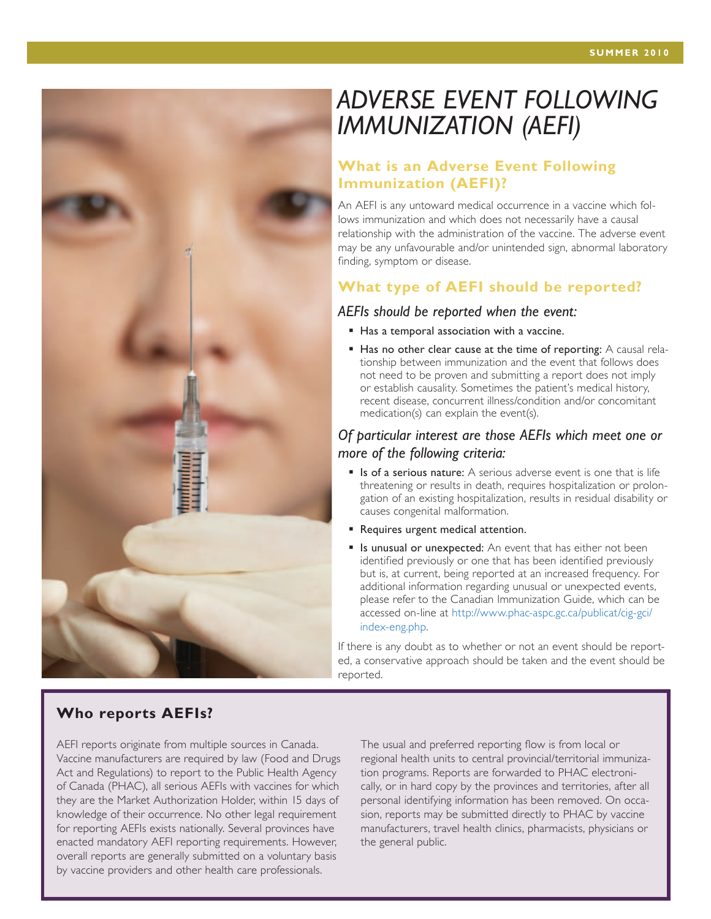### *ADVERSE EVENT FOLLOWING IMMUNIZATION (AEFI)*

### **What is an Adverse Event Following Immunization (AEFI)?**

An AEFI is any untoward medical occurrence in a vaccine which follows immunization and which does not necessarily have a causal relationship with the administration of the vaccine. The adverse event may be any unfavourable and/or unintended sign, abnormal laboratory finding, symptom or disease.

### **What type of AEFI should be reported?**

#### *AEFIs should be reported when the event:*

- Has a temporal association with a vaccine.
- $\blacksquare$  Has no other clear cause at the time of reporting: A causal relationship between immunization and the event that follows does not need to be proven and submitting a report does not imply or establish causality. Sometimes the patient's medical history, recent disease, concurrent illness/condition and/or concomitant medication(s) can explain the event(s).

### *Of particular interest are those AEFIs which meet one or more of the following criteria:*

- **Is of a serious nature:** A serious adverse event is one that is life threatening or results in death, requires hospitalization or prolongation of an existing hospitalization, results in residual disability or causes congenital malformation.
- **Requires urgent medical attention.**
- **If** Is unusual or unexpected: An event that has either not been identified previously or one that has been identified previously but is, at current, being reported at an increased frequency. For additional information regarding unusual or unexpected events, please refer to the Canadian Immunization Guide, which can be accessed on-line at http://www.phac-aspc.gc.ca/publicat/cig-gci/ index-eng.php.

If there is any doubt as to whether or not an event should be reported, a conservative approach should be taken and the event should be reported.

### **Who reports AEFIs?**

AEFI reports originate from multiple sources in Canada. Vaccine manufacturers are required by law (Food and Drugs Act and Regulations) to report to the Public Health Agency of Canada (PHAC), all serious AEFIs with vaccines for which they are the Market Authorization Holder, within 15 days of knowledge of their occurrence. No other legal requirement for reporting AEFIs exists nationally. Several provinces have enacted mandatory AEFI reporting requirements. However, overall reports are generally submitted on a voluntary basis by vaccine providers and other health care professionals.

The usual and preferred reporting flow is from local or regional health units to central provincial/territorial immunization programs. Reports are forwarded to PHAC electronically, or in hard copy by the provinces and territories, after all personal identifying information has been removed. On occasion, reports may be submitted directly to PHAC by vaccine manufacturers, travel health clinics, pharmacists, physicians or the general public.